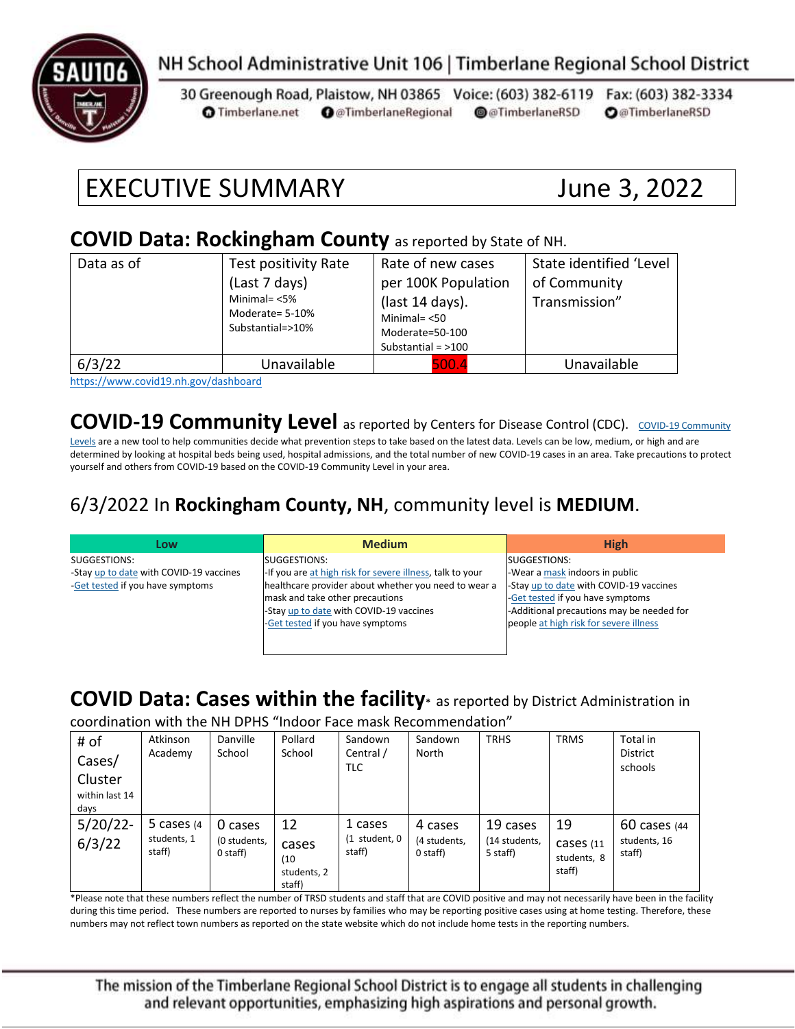

# NH School Administrative Unit 106 | Timberlane Regional School District

30 Greenough Road, Plaistow, NH 03865 Voice: (603) 382-6119 Fax: (603) 382-3334 **O** Timberlane.net **O** @TimberlaneRegional @@TimberlaneRSD **O**@TimberlaneRSD

# EXECUTIVE SUMMARY June 3, 2022

#### **COVID Data: Rockingham County** as reported by State of NH.

| Data as of | Test positivity Rate<br>(Last 7 days)<br>Minimal= $<$ 5%<br>Moderate= 5-10%<br>Substantial=>10% | Rate of new cases<br>per 100K Population<br>(last 14 days).<br>Minimal= $< 50$<br>Moderate=50-100<br>Substantial = $>100$ | State identified 'Level<br>of Community<br>Transmission" |
|------------|-------------------------------------------------------------------------------------------------|---------------------------------------------------------------------------------------------------------------------------|----------------------------------------------------------|
| 6/3/22     | Unavailable                                                                                     | 500.4                                                                                                                     | Unavailable                                              |

<https://www.covid19.nh.gov/dashboard>

#### **[COVID-19 Community](https://www.cdc.gov/coronavirus/2019-ncov/science/community-levels.html) Level** as reported by Centers for Disease Control (CDC). COVID-19 Community

[Levels](https://www.cdc.gov/coronavirus/2019-ncov/science/community-levels.html) are a new tool to help communities decide what prevention steps to take based on the latest data. Levels can be low, medium, or high and are determined by looking at hospital beds being used, hospital admissions, and the total number of new COVID-19 cases in an area. Take precautions to protect yourself and others from COVID-19 based on the COVID-19 Community Level in your area.

#### 6/3/2022 In **Rockingham County, NH**, community level is **MEDIUM**.

| Low                                     | <b>Medium</b>                                             | <b>High</b>                               |
|-----------------------------------------|-----------------------------------------------------------|-------------------------------------------|
| SUGGESTIONS:                            | SUGGESTIONS:                                              | SUGGESTIONS:                              |
| -Stay up to date with COVID-19 vaccines | -If you are at high risk for severe illness, talk to your | -Wear a mask indoors in public            |
| -Get tested if you have symptoms        | healthcare provider about whether you need to wear a      | -Stay up to date with COVID-19 vaccines   |
|                                         | mask and take other precautions                           | -Get tested if you have symptoms          |
|                                         | -Stay up to date with COVID-19 vaccines                   | -Additional precautions may be needed for |
|                                         | -Get tested if you have symptoms                          | people at high risk for severe illness    |
|                                         |                                                           |                                           |
|                                         |                                                           |                                           |

### **COVID Data: Cases within the facility\*** as reported by District Administration in

coordination with the NH DPHS "Indoor Face mask Recommendation"

| # of<br>Cases/<br>Cluster<br>within last 14<br>days | Atkinson<br>Academy                    | Danville<br>School                  | Pollard<br>School                            | Sandown<br>Central /<br><b>TLC</b>     | Sandown<br>North                    | <b>TRHS</b>                           | <b>TRMS</b>                              | Total in<br><b>District</b><br>schools   |
|-----------------------------------------------------|----------------------------------------|-------------------------------------|----------------------------------------------|----------------------------------------|-------------------------------------|---------------------------------------|------------------------------------------|------------------------------------------|
| $5/20/22$ -<br>6/3/22                               | 5 cases $(4)$<br>students, 1<br>staff) | 0 cases<br>(0 students,<br>0 staff) | 12<br>cases<br>(10)<br>students, 2<br>staff) | 1 cases<br>$(1$ student, $0$<br>staff) | 4 cases<br>(4 students,<br>0 staff) | 19 cases<br>(14 students,<br>5 staff) | 19<br>Cases (11<br>students, 8<br>staff) | $60$ cases (44<br>students, 16<br>staff) |

\*Please note that these numbers reflect the number of TRSD students and staff that are COVID positive and may not necessarily have been in the facility during this time period. These numbers are reported to nurses by families who may be reporting positive cases using at home testing. Therefore, these numbers may not reflect town numbers as reported on the state website which do not include home tests in the reporting numbers.

The mission of the Timberlane Regional School District is to engage all students in challenging and relevant opportunities, emphasizing high aspirations and personal growth.